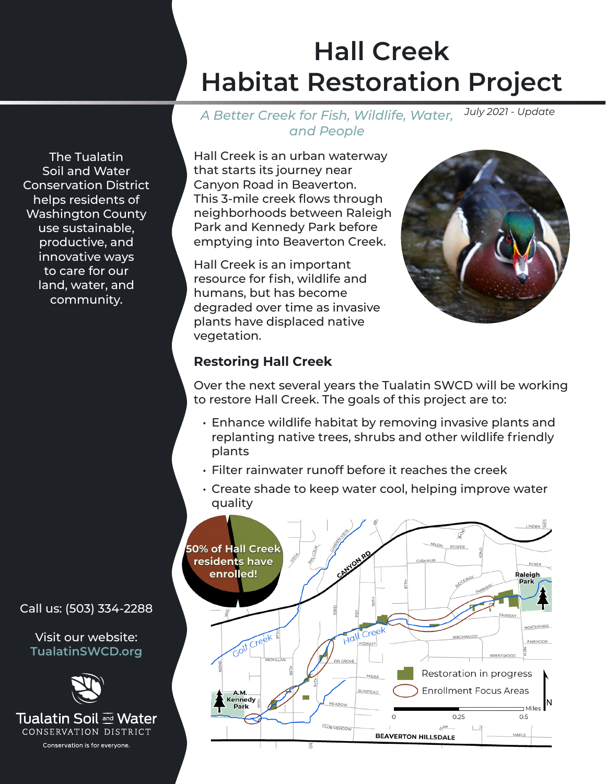# **Hall Creek Habitat Restoration Project**

*July 2021 - Update A Better Creek for Fish, Wildlife, Water, and People*

The Tualatin Soil and Water Conservation District helps residents of Washington County use sustainable, productive, and innovative ways to care for our land, water, and community.

Hall Creek is an urban waterway that starts its journey near Canyon Road in Beaverton. This 3-mile creek flows through neighborhoods between Raleigh Park and Kennedy Park before emptying into Beaverton Creek.

Hall Creek is an important resource for fish, wildlife and humans, but has become degraded over time as invasive plants have displaced native vegetation.



## **Restoring Hall Creek**

Over the next several years the Tualatin SWCD will be working to restore Hall Creek. The goals of this project are to:

- Enhance wildlife habitat by removing invasive plants and replanting native trees, shrubs and other wildlife friendly plants
- Filter rainwater runoff before it reaches the creek
- Create shade to keep water cool, helping improve water quality



Call us: (503) 334-2288

Visit our website: **TualatinSWCD.org**